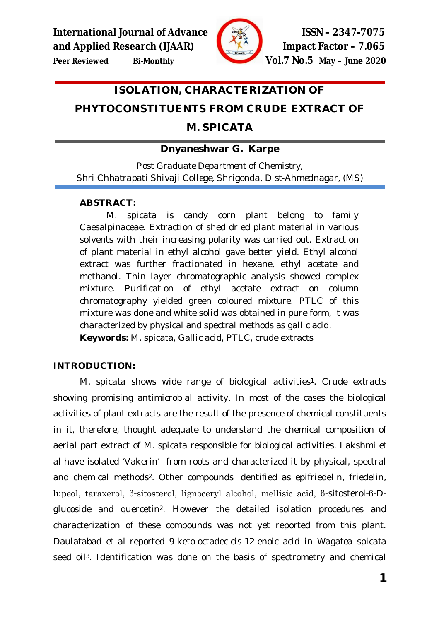

**Peer Reviewed Bi-Monthly Vol.7 No.5 May – June 2020**

# **ISOLATION, CHARACTERIZATION OF**

# **PHYTOCONSTITUENTS FROM CRUDE EXTRACT OF**

# **M. SPICATA**

## **Dnyaneshwar G. Karpe**

*Post Graduate Department of Chemistry, Shri Chhatrapati Shivaji College, Shrigonda, Dist-Ahmednagar, (MS)*

### **ABSTRACT:**

*M. spicata* is candy corn plant belong to family Caesalpinaceae. Extraction of shed dried plant material in various solvents with their increasing polarity was carried out. Extraction of plant material in ethyl alcohol gave better yield. Ethyl alcohol extract was further fractionated in hexane, ethyl acetate and methanol. Thin layer chromatographic analysis showed complex mixture. Purification of ethyl acetate extract on column chromatography yielded green coloured mixture. PTLC of this mixture was done and white solid was obtained in pure form, it was characterized by physical and spectral methods as gallic acid. **Keywords:** M. spicata, Gallic acid, PTLC, crude extracts

## **INTRODUCTION:**

*M. spicata* shows wide range of biological activities<sup>1</sup>. Crude extracts showing promising antimicrobial activity. In most of the cases the biological activities of plant extracts are the result of the presence of chemical constituents in it, therefore, thought adequate to understand the chemical composition of aerial part extract of *M. spicata* responsible for biological activities. Lakshmi *et al* have isolated 'Vakerin' from roots and characterized it by physical, spectral and chemical methods2. Other compounds identified as epifriedelin, friedelin, lupeol, taraxerol, β-sitosterol, lignoceryl alcohol, mellisic acid, β-sitosterol-β-Dglucoside and quercetin2. However the detailed isolation procedures and characterization of these compounds was not yet reported from this plant. Daulatabad *et al* reported 9-keto-octadec-cis-12-enoic acid in *Wagatea spicata*  seed oil<sup>3</sup>. Identification was done on the basis of spectrometry and chemical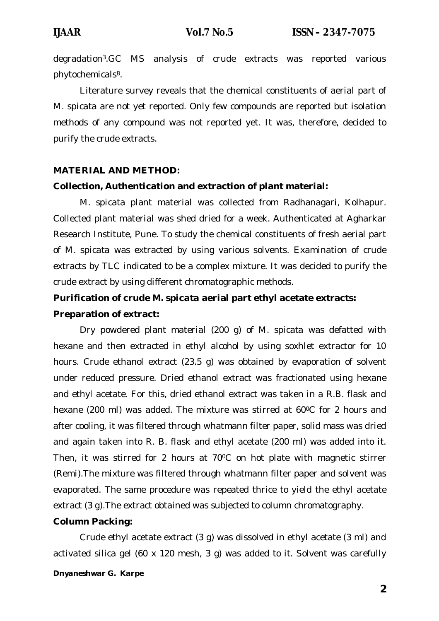degradation3.GC MS analysis of crude extracts was reported various phytochemicals8.

Literature survey reveals that the chemical constituents of aerial part of *M. spicata* are not yet reported. Only few compounds are reported but isolation methods of any compound was not reported yet. It was, therefore, decided to purify the crude extracts.

#### **MATERIAL AND METHOD:**

#### **Collection, Authentication and extraction of plant material:**

*M. spicata* plant material was collected from Radhanagari, Kolhapur. Collected plant material was shed dried for a week. Authenticated at Agharkar Research Institute, Pune. To study the chemical constituents of fresh aerial part of *M. spicata* was extracted by using various solvents. Examination of crude extracts by TLC indicated to be a complex mixture. It was decided to purify the crude extract by using different chromatographic methods.

# **Purification of crude** *M. spicata* **aerial part ethyl acetate extracts: Preparation of extract:**

Dry powdered plant material (200 g) of *M. spicata* was defatted with hexane and then extracted in ethyl alcohol by using soxhlet extractor for 10 hours. Crude ethanol extract (23.5 g) was obtained by evaporation of solvent under reduced pressure. Dried ethanol extract was fractionated using hexane and ethyl acetate. For this, dried ethanol extract was taken in a R.B. flask and hexane (200 ml) was added. The mixture was stirred at 60°C for 2 hours and after cooling, it was filtered through whatmann filter paper, solid mass was dried and again taken into R. B. flask and ethyl acetate (200 ml) was added into it. Then, it was stirred for 2 hours at 70°C on hot plate with magnetic stirrer (Remi).The mixture was filtered through whatmann filter paper and solvent was evaporated. The same procedure was repeated thrice to yield the ethyl acetate extract (3 g).The extract obtained was subjected to column chromatography.

#### **Column Packing:**

Crude ethyl acetate extract (3 g) was dissolved in ethyl acetate (3 ml) and activated silica gel (60 x 120 mesh, 3 g) was added to it. Solvent was carefully

#### *Dnyaneshwar G. Karpe*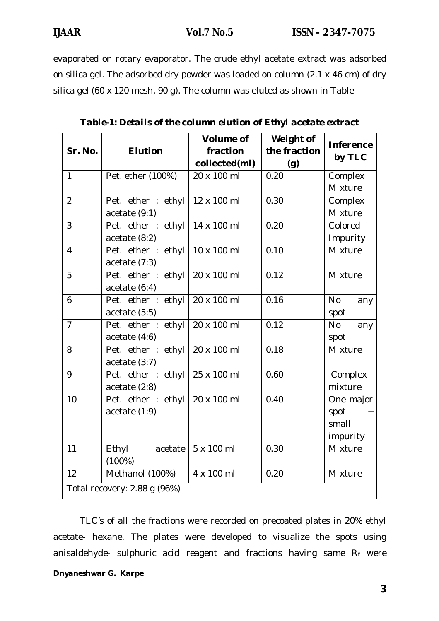evaporated on rotary evaporator. The crude ethyl acetate extract was adsorbed on silica gel. The adsorbed dry powder was loaded on column (2.1 x 46 cm) of dry silica gel (60 x 120 mesh, 90 g). The column was eluted as shown in Table

| Sr. No.                      | <b>Elution</b>                        | <b>Volume of</b><br>fraction<br>collected(ml) | Weight of<br>the fraction<br>(g) | <b>Inference</b><br>by TLC                    |  |  |
|------------------------------|---------------------------------------|-----------------------------------------------|----------------------------------|-----------------------------------------------|--|--|
| $\mathbf{1}$                 | Pet. ether (100%)                     | 20 x 100 ml                                   | 0.20                             | Complex<br>Mixture                            |  |  |
| $\overline{2}$               | Pet. ether : ethyl<br>acetate(9:1)    | 12 x 100 ml                                   | 0.30                             | Complex<br>Mixture                            |  |  |
| 3                            | Pet. ether : ethyl<br>acetate(8:2)    | 14 x 100 ml                                   | 0.20                             | Colored<br>Impurity                           |  |  |
| $\overline{4}$               | Pet. ether : ethyl<br>acetate $(7:3)$ | 10 x 100 ml                                   | 0.10                             | Mixture                                       |  |  |
| 5                            | Pet. ether : ethyl<br>acetate(6:4)    | 20 x 100 ml                                   | 0.12                             | Mixture                                       |  |  |
| 6                            | Pet. ether : ethyl<br>acetate(5:5)    | 20 x 100 ml                                   | 0.16                             | <b>No</b><br>any<br>spot                      |  |  |
| $\overline{7}$               | Pet. ether : ethyl<br>acetate(4:6)    | 20 x 100 ml                                   | 0.12                             | <b>No</b><br>any<br>spot                      |  |  |
| 8                            | Pet. ether : ethyl<br>acetate(3:7)    | 20 x 100 ml                                   | 0.18                             | Mixture                                       |  |  |
| 9                            | Pet. ether : ethyl<br>acetate (2:8)   | 25 x 100 ml                                   | 0.60                             | Complex<br>mixture                            |  |  |
| 10                           | Pet. ether : ethyl<br>acetate $(1:9)$ | 20 x 100 ml                                   | 0.40                             | One major<br>spot<br>$+$<br>small<br>impurity |  |  |
| 11                           | Ethyl<br>acetate<br>(100%)            | 5 x 100 ml                                    | 0.30                             | Mixture                                       |  |  |
| 12                           | Methanol (100%)                       | 4 x 100 ml                                    | 0.20                             | Mixture                                       |  |  |
| Total recovery: 2.88 g (96%) |                                       |                                               |                                  |                                               |  |  |

|  | Table-1: Details of the column elution of Ethyl acetate extract |  |  |
|--|-----------------------------------------------------------------|--|--|
|  |                                                                 |  |  |

TLC's of all the fractions were recorded on precoated plates in 20% ethyl acetate- hexane. The plates were developed to visualize the spots using anisaldehyde- sulphuric acid reagent and fractions having same  $R_f$  were

#### *Dnyaneshwar G. Karpe*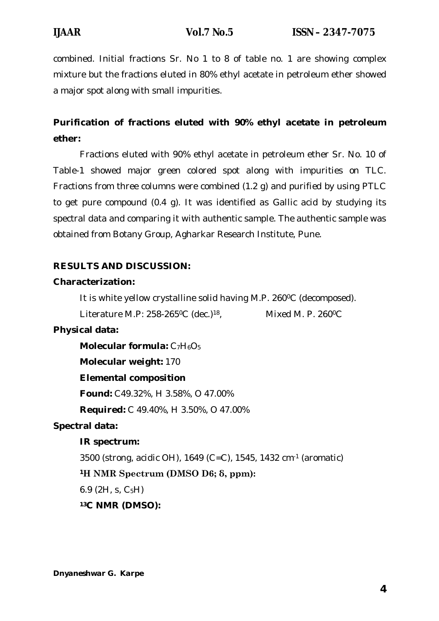combined. Initial fractions Sr. No 1 to 8 of table no. 1 are showing complex mixture but the fractions eluted in 80% ethyl acetate in petroleum ether showed a major spot along with small impurities.

# **Purification of fractions eluted with 90% ethyl acetate in petroleum ether:**

Fractions eluted with 90% ethyl acetate in petroleum ether Sr. No. 10 of Table-1 showed major green colored spot along with impurities on TLC. Fractions from three columns were combined (1.2 g) and purified by using PTLC to get pure compound (0.4 g). It was identified as Gallic acid by studying its spectral data and comparing it with authentic sample. The authentic sample was obtained from Botany Group, Agharkar Research Institute, Pune.

## **RESULTS AND DISCUSSION:**

## **Characterization:**

It is white yellow crystalline solid having M.P. 260°C (decomposed).

Literature M.P: 258-265°C (dec.)<sup>18</sup>, Mixed M. P. 260°C

## **Physical data:**

**Molecular formula: C<sub>7</sub>H<sub>6</sub>O<sub>5</sub>** 

## **Molecular weight:** 170

## **Elemental composition**

**Found:** C49.32%, H 3.58%, O 47.00%

**Required:** C 49.40%, H 3.50%, O 47.00%

## **Spectral data:**

## **IR spectrum:**

3500 (strong, acidic OH), 1649 (C=C), 1545, 1432 cm-1 (aromatic)

## **<sup>1</sup>H NMR Spectrum (DMSO D6; δ, ppm):**

6.9 (2H, s,  $C_5H$ )

## **13C NMR (DMSO):**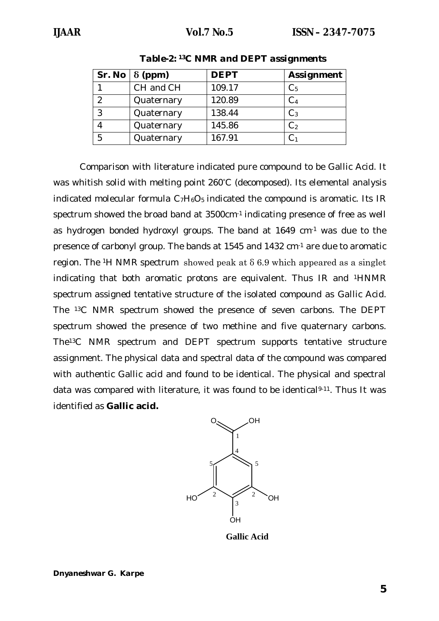|   | Sr. No $\vert 8$ (ppm) | <b>DEPT</b> | <b>Assignment</b> |
|---|------------------------|-------------|-------------------|
|   | CH and CH              | 109.17      | C <sub>5</sub>    |
|   | Quaternary             | 120.89      | C <sub>4</sub>    |
| 3 | Quaternary             | 138.44      | $C_3$             |
|   | Quaternary             | 145.86      | C <sub>2</sub>    |
| 5 | Quaternary             | 167.91      |                   |

*Table-2: <sup>13</sup>C NMR and DEPT assignments*

Comparison with literature indicated pure compound to be Gallic Acid. It was whitish solid with melting point 260°C (decomposed). Its elemental analysis indicated molecular formula  $C_7H_6O_5$  indicated the compound is aromatic. Its IR spectrum showed the broad band at 3500cm-1 indicating presence of free as well as hydrogen bonded hydroxyl groups. The band at 1649 cm-1 was due to the presence of carbonyl group. The bands at 1545 and 1432 cm-1 are due to aromatic region. The <sup>1</sup>H NMR spectrum showed peak at  $\delta$  6.9 which appeared as a singlet indicating that both aromatic protons are equivalent. Thus IR and 1HNMR spectrum assigned tentative structure of the isolated compound as Gallic Acid. The 13C NMR spectrum showed the presence of seven carbons. The DEPT spectrum showed the presence of two methine and five quaternary carbons. The13C NMR spectrum and DEPT spectrum supports tentative structure assignment. The physical data and spectral data of the compound was compared with authentic Gallic acid and found to be identical. The physical and spectral data was compared with literature, it was found to be identical<sup>9-11</sup>. Thus It was identified as **Gallic acid.**



**Gallic Acid**